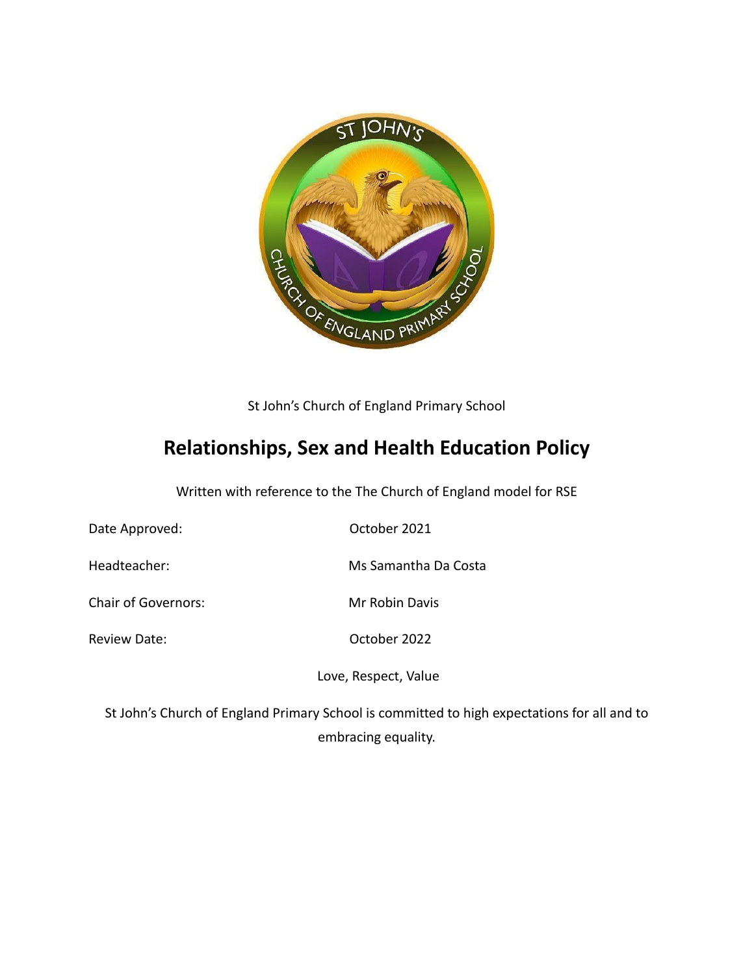

St John's Church of England Primary School

# **Relationships, Sex and Health Education Policy**

Written with reference to the The Church of England model for RSE

| Date Approved:             | October 2021         |
|----------------------------|----------------------|
| Headteacher:               | Ms Samantha Da Costa |
| <b>Chair of Governors:</b> | Mr Robin Davis       |
| <b>Review Date:</b>        | October 2022         |
|                            | Love, Respect, Value |
|                            |                      |

St John's Church of England Primary School is committed to high expectations for all and to embracing equality.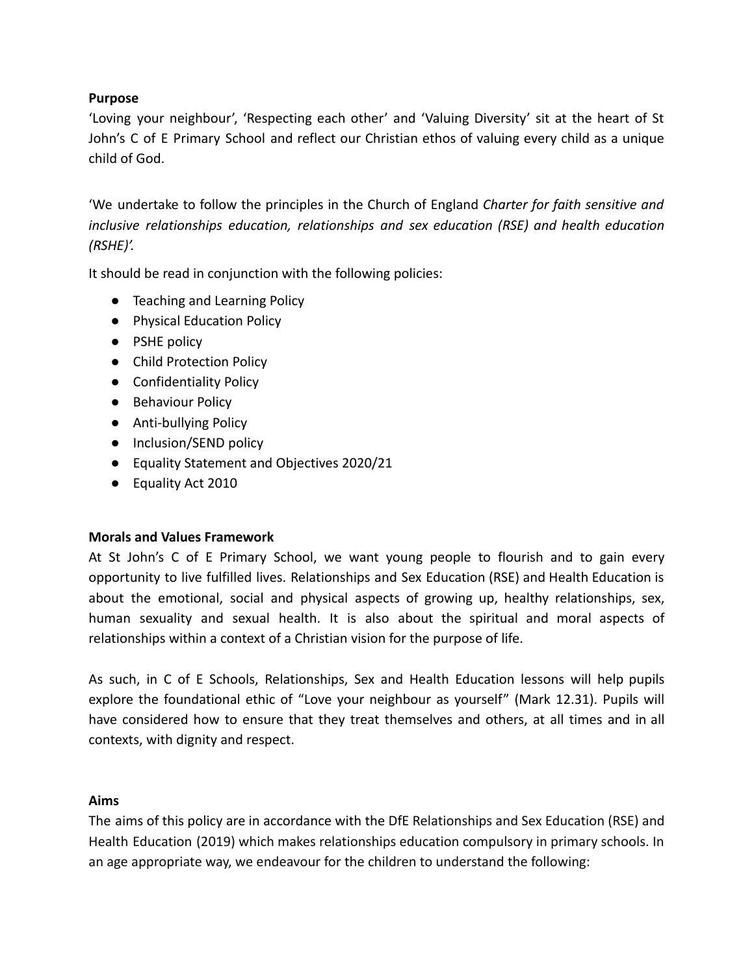## **Purpose**

'Loving your neighbour', 'Respecting each other' and 'Valuing Diversity' sit at the heart of St John's C of E Primary School and reflect our Christian ethos of valuing every child as a unique child of God.

'We undertake to follow the principles in the Church of England *Charter for faith sensitive and inclusive relationships education, relationships and sex education (RSE) and health education (RSHE)'.*

It should be read in conjunction with the following policies:

- Teaching and Learning Policy
- Physical Education Policy
- PSHE policy
- Child Protection Policy
- Confidentiality Policy
- Behaviour Policy
- Anti-bullying Policy
- Inclusion/SEND policy
- Equality Statement and Objectives 2020/21
- Equality Act 2010

#### **Morals and Values Framework**

At St John's C of E Primary School, we want young people to flourish and to gain every opportunity to live fulfilled lives. Relationships and Sex Education (RSE) and Health Education is about the emotional, social and physical aspects of growing up, healthy relationships, sex, human sexuality and sexual health. It is also about the spiritual and moral aspects of relationships within a context of a Christian vision for the purpose of life.

As such, in C of E Schools, Relationships, Sex and Health Education lessons will help pupils explore the foundational ethic of "Love your neighbour as yourself" (Mark 12.31). Pupils will have considered how to ensure that they treat themselves and others, at all times and in all contexts, with dignity and respect.

#### **Aims**

The aims of this policy are in accordance with the DfE Relationships and Sex Education (RSE) and Health Education (2019) which makes relationships education compulsory in primary schools. In an age appropriate way, we endeavour for the children to understand the following: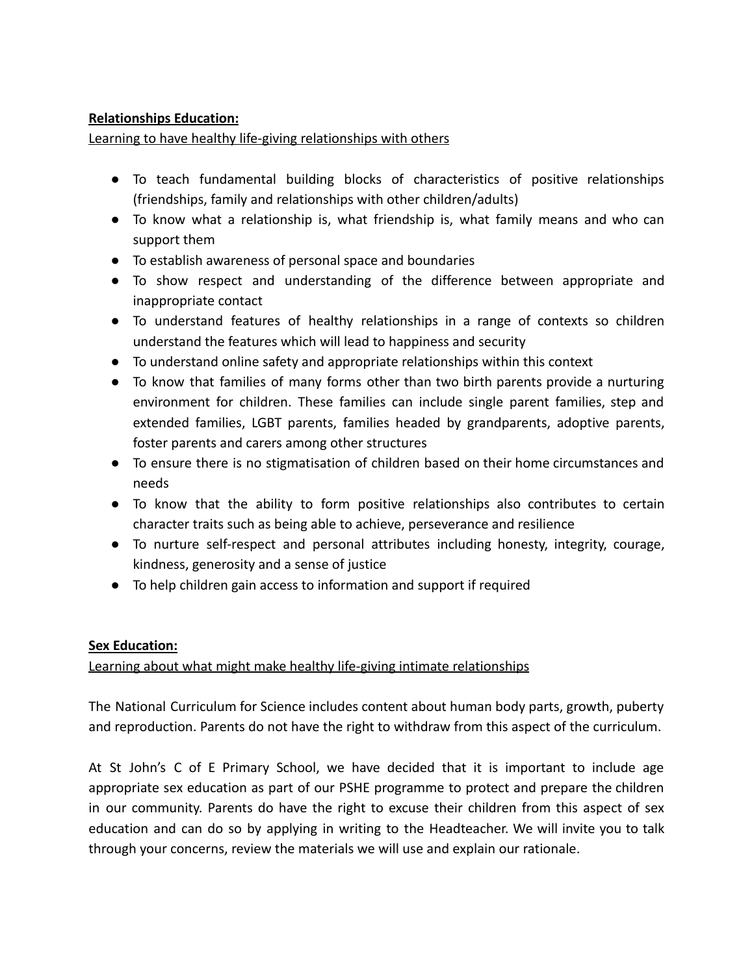# **Relationships Education:**

Learning to have healthy life-giving relationships with others

- To teach fundamental building blocks of characteristics of positive relationships (friendships, family and relationships with other children/adults)
- To know what a relationship is, what friendship is, what family means and who can support them
- To establish awareness of personal space and boundaries
- To show respect and understanding of the difference between appropriate and inappropriate contact
- To understand features of healthy relationships in a range of contexts so children understand the features which will lead to happiness and security
- To understand online safety and appropriate relationships within this context
- To know that families of many forms other than two birth parents provide a nurturing environment for children. These families can include single parent families, step and extended families, LGBT parents, families headed by grandparents, adoptive parents, foster parents and carers among other structures
- To ensure there is no stigmatisation of children based on their home circumstances and needs
- To know that the ability to form positive relationships also contributes to certain character traits such as being able to achieve, perseverance and resilience
- To nurture self-respect and personal attributes including honesty, integrity, courage, kindness, generosity and a sense of justice
- To help children gain access to information and support if required

# **Sex Education:**

# Learning about what might make healthy life-giving intimate relationships

The National Curriculum for Science includes content about human body parts, growth, puberty and reproduction. Parents do not have the right to withdraw from this aspect of the curriculum.

At St John's C of E Primary School, we have decided that it is important to include age appropriate sex education as part of our PSHE programme to protect and prepare the children in our community. Parents do have the right to excuse their children from this aspect of sex education and can do so by applying in writing to the Headteacher. We will invite you to talk through your concerns, review the materials we will use and explain our rationale.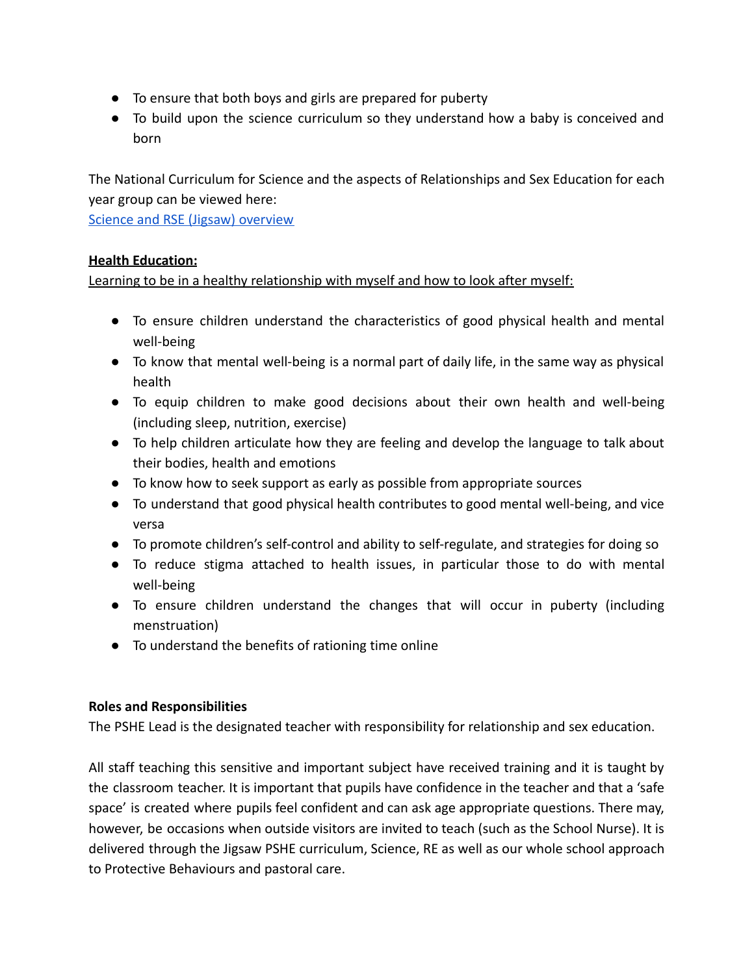- To ensure that both boys and girls are prepared for puberty
- To build upon the science curriculum so they understand how a baby is conceived and born

The National Curriculum for Science and the aspects of Relationships and Sex Education for each year group can be viewed here:

[Science and RSE \(Jigsaw\) overview](https://docs.google.com/document/d/1uc6qwVivVrBuq3I_7ogrCSOEx1fUg6YB0A4S5aV7VtY/edit?usp=sharing)

# **Health Education:**

Learning to be in a healthy relationship with myself and how to look after myself:

- To ensure children understand the characteristics of good physical health and mental well-being
- To know that mental well-being is a normal part of daily life, in the same way as physical health
- To equip children to make good decisions about their own health and well-being (including sleep, nutrition, exercise)
- To help children articulate how they are feeling and develop the language to talk about their bodies, health and emotions
- To know how to seek support as early as possible from appropriate sources
- To understand that good physical health contributes to good mental well-being, and vice versa
- To promote children's self-control and ability to self-regulate, and strategies for doing so
- To reduce stigma attached to health issues, in particular those to do with mental well-being
- To ensure children understand the changes that will occur in puberty (including menstruation)
- To understand the benefits of rationing time online

# **Roles and Responsibilities**

The PSHE Lead is the designated teacher with responsibility for relationship and sex education.

All staff teaching this sensitive and important subject have received training and it is taught by the classroom teacher. It is important that pupils have confidence in the teacher and that a 'safe space' is created where pupils feel confident and can ask age appropriate questions. There may, however, be occasions when outside visitors are invited to teach (such as the School Nurse). It is delivered through the Jigsaw PSHE curriculum, Science, RE as well as our whole school approach to Protective Behaviours and pastoral care.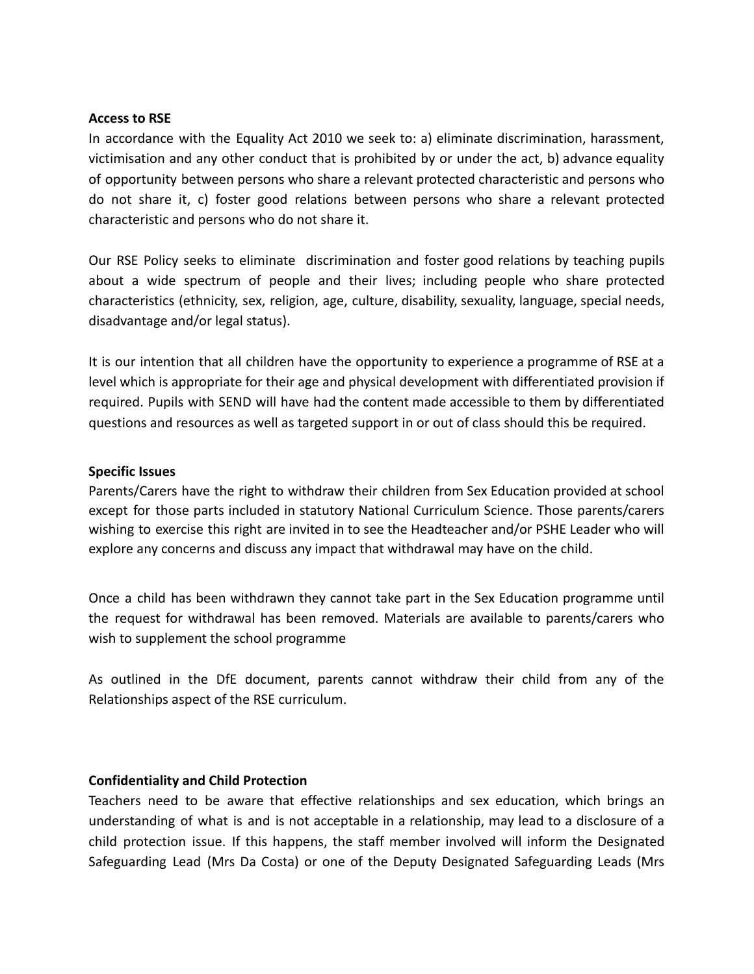#### **Access to RSE**

In accordance with the Equality Act 2010 we seek to: a) eliminate discrimination, harassment, victimisation and any other conduct that is prohibited by or under the act, b) advance equality of opportunity between persons who share a relevant protected characteristic and persons who do not share it, c) foster good relations between persons who share a relevant protected characteristic and persons who do not share it.

Our RSE Policy seeks to eliminate discrimination and foster good relations by teaching pupils about a wide spectrum of people and their lives; including people who share protected characteristics (ethnicity, sex, religion, age, culture, disability, sexuality, language, special needs, disadvantage and/or legal status).

It is our intention that all children have the opportunity to experience a programme of RSE at a level which is appropriate for their age and physical development with differentiated provision if required. Pupils with SEND will have had the content made accessible to them by differentiated questions and resources as well as targeted support in or out of class should this be required.

#### **Specific Issues**

Parents/Carers have the right to withdraw their children from Sex Education provided at school except for those parts included in statutory National Curriculum Science. Those parents/carers wishing to exercise this right are invited in to see the Headteacher and/or PSHE Leader who will explore any concerns and discuss any impact that withdrawal may have on the child.

Once a child has been withdrawn they cannot take part in the Sex Education programme until the request for withdrawal has been removed. Materials are available to parents/carers who wish to supplement the school programme

As outlined in the DfE document, parents cannot withdraw their child from any of the Relationships aspect of the RSE curriculum.

#### **Confidentiality and Child Protection**

Teachers need to be aware that effective relationships and sex education, which brings an understanding of what is and is not acceptable in a relationship, may lead to a disclosure of a child protection issue. If this happens, the staff member involved will inform the Designated Safeguarding Lead (Mrs Da Costa) or one of the Deputy Designated Safeguarding Leads (Mrs